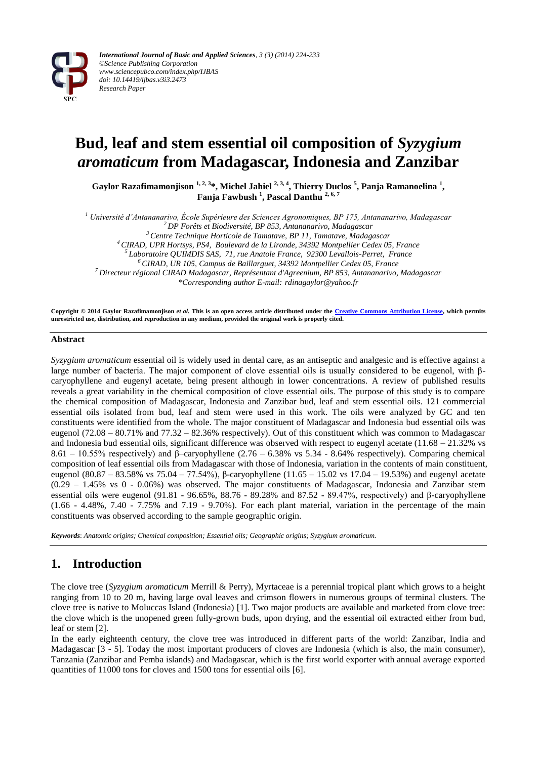

# **Bud, leaf and stem essential oil composition of** *Syzygium aromaticum* **from Madagascar, Indonesia and Zanzibar**

**Gaylor Razafimamonjison 1, 2, 3\*, Michel Jahiel 2, 3, 4, Thierry Duclos <sup>5</sup> , Panja Ramanoelina <sup>1</sup> , Fanja Fawbush <sup>1</sup> , Pascal Danthu 2, 6, 7**

*<sup>1</sup> Université d'Antananarivo, École Supérieure des Sciences Agronomiques, BP 175, Antananarivo, Madagascar*

*<sup>2</sup>DP Forêts et Biodiversité, BP 853, Antananarivo, Madagascar*

*<sup>3</sup>Centre Technique Horticole de Tamatave, BP 11, Tamatave, Madagascar*

*<sup>4</sup>CIRAD, UPR Hortsys, PS4, Boulevard de la Lironde, 34392 Montpellier Cedex 05, France*

*<sup>5</sup>Laboratoire QUIMDIS SAS, 71, rue Anatole France, 92300 Levallois-Perret, France*

*<sup>6</sup>CIRAD, UR 105, Campus de Baillarguet, 34392 Montpellier Cedex 05, France*

*<sup>7</sup>Directeur régional CIRAD Madagascar, Représentant d'Agreenium, BP 853, Antananarivo, Madagascar*

*\*Corresponding author E-mail: rdinagaylor@yahoo.fr*

**Copyright © 2014 Gaylor Razafimamonjison** *et al.* **This is an open access article distributed under the [Creative Commons Attribution License,](http://creativecommons.org/licenses/by/3.0/) which permits unrestricted use, distribution, and reproduction in any medium, provided the original work is properly cited.**

#### **Abstract**

*Syzygium aromaticum* essential oil is widely used in dental care, as an antiseptic and analgesic and is effective against a large number of bacteria. The major component of clove essential oils is usually considered to be eugenol, with βcaryophyllene and eugenyl acetate, being present although in lower concentrations. A review of published results reveals a great variability in the chemical composition of clove essential oils. The purpose of this study is to compare the chemical composition of Madagascar, Indonesia and Zanzibar bud, leaf and stem essential oils. 121 commercial essential oils isolated from bud, leaf and stem were used in this work. The oils were analyzed by GC and ten constituents were identified from the whole. The major constituent of Madagascar and Indonesia bud essential oils was eugenol  $(72.08 - 80.71\%$  and  $77.32 - 82.36\%$  respectively). Out of this constituent which was common to Madagascar and Indonesia bud essential oils, significant difference was observed with respect to eugenyl acetate  $(11.68 - 21.32\%$  vs 8.61 – 10.55% respectively) and β–caryophyllene (2.76 – 6.38% vs 5.34 - 8.64% respectively). Comparing chemical composition of leaf essential oils from Madagascar with those of Indonesia, variation in the contents of main constituent, eugenol (80.87 – 83.58% vs 75.04 – 77.54%), β-caryophyllene (11.65 – 15.02 vs 17.04 – 19.53%) and eugenyl acetate (0.29 – 1.45% vs 0 - 0.06%) was observed. The major constituents of Madagascar, Indonesia and Zanzibar stem essential oils were eugenol (91.81 - 96.65%, 88.76 - 89.28% and 87.52 - 89.47%, respectively) and β-caryophyllene (1.66 - 4.48%, 7.40 - 7.75% and 7.19 - 9.70%). For each plant material, variation in the percentage of the main constituents was observed according to the sample geographic origin.

*Keywords*: *Anatomic origins; Chemical composition; Essential oils; Geographic origins; Syzygium aromaticum.*

## **1. Introduction**

The clove tree (*Syzygium aromaticum* Merrill & Perry), Myrtaceae is a perennial tropical plant which grows to a height ranging from 10 to 20 m, having large oval leaves and crimson flowers in numerous groups of terminal clusters. The clove tree is native to Moluccas Island (Indonesia) [1]. Two major products are available and marketed from clove tree: the clove which is the unopened green fully-grown buds, upon drying, and the essential oil extracted either from bud, leaf or stem [2].

In the early eighteenth century, the clove tree was introduced in different parts of the world: Zanzibar, India and Madagascar [3 - 5]. Today the most important producers of cloves are Indonesia (which is also, the main consumer), Tanzania (Zanzibar and Pemba islands) and Madagascar, which is the first world exporter with annual average exported quantities of 11000 tons for cloves and 1500 tons for essential oils [6].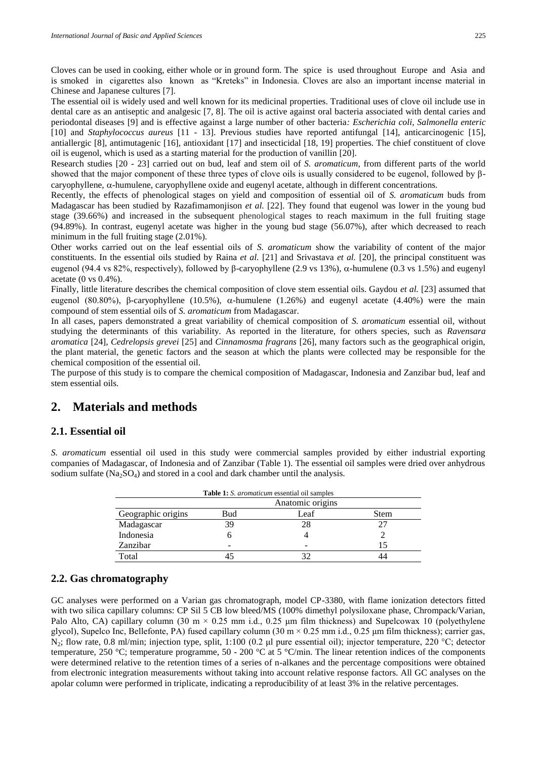Cloves can be used in cooking, either whole or in ground form. The spice is used throughout Europe and Asia and is smoked in cigarettes also known as "Kreteks" in Indonesia. Cloves are also an important incense material in Chinese and Japanese cultures [7].

The essential oil is widely used and well known for its medicinal properties. Traditional uses of clove oil include use in dental care as an antiseptic and analgesic [7, 8]. The oil is active against oral bacteria associated with dental caries and periodontal diseases [9] and is effective against a large number of other bacteria*: Escherichia coli*, *Salmonella enteric* [10] and *Staphylococcus aureus* [11 - 13]. Previous studies have reported antifungal [14], anticarcinogenic [15], antiallergic [8], antimutagenic [16], antioxidant [17] and insecticidal [18, 19] properties. The chief constituent of clove oil is eugenol, which is used as a starting material for the production of vanillin [20].

Research studies [20 - 23] carried out on bud, leaf and stem oil of *S. aromaticum*, from different parts of the world showed that the major component of these three types of clove oils is usually considered to be eugenol, followed by β $caryophyllene, \alpha-humulene, \alphaaryophyllene oxide and eugenyl acetate, although in different concentrations.$ 

Recently, the effects of phenological stages on yield and composition of essential oil of *S. aromaticum* buds from Madagascar has been studied by Razafimamonjison *et al.* [22]. They found that eugenol was lower in the young bud stage (39.66%) and increased in the subsequent phenological stages to reach maximum in the full fruiting stage (94.89%). In contrast, eugenyl acetate was higher in the young bud stage (56.07%), after which decreased to reach minimum in the full fruiting stage (2.01%).

Other works carried out on the leaf essential oils of *S. aromaticum* show the variability of content of the major constituents. In the essential oils studied by Raina *et al.* [21] and Srivastava *et al.* [20], the principal constituent was eugenol (94.4 vs 82%, respectively), followed by β-caryophyllene (2.9 vs 13%), α-humulene (0.3 vs 1.5%) and eugenyl acetate (0 vs 0.4%).

Finally, little literature describes the chemical composition of clove stem essential oils. Gaydou *et al.* [23] assumed that eugenol (80.80%), β-caryophyllene (10.5%),  $\alpha$ -humulene (1.26%) and eugenyl acetate (4.40%) were the main compound of stem essential oils of *S. aromaticum* from Madagascar.

In all cases, papers demonstrated a great variability of chemical composition of *S. aromaticum* essential oil, without studying the determinants of this variability. As reported in the literature, for others species, such as *Ravensara aromatica* [24], *Cedrelopsis grevei* [25] and *Cinnamosma fragrans* [26], many factors such as the geographical origin, the plant material, the genetic factors and the season at which the plants were collected may be responsible for the chemical composition of the essential oil.

The purpose of this study is to compare the chemical composition of Madagascar, Indonesia and Zanzibar bud, leaf and stem essential oils.

### **2. Materials and methods**

### **2.1. Essential oil**

*S. aromaticum* essential oil used in this study were commercial samples provided by either industrial exporting companies of Madagascar, of Indonesia and of Zanzibar (Table 1). The essential oil samples were dried over anhydrous sodium sulfate  $(Na_2SO_4)$  and stored in a cool and dark chamber until the analysis.

| <b>Table 1:</b> S. <i>aromaticum</i> essential oil samples |                  |      |      |  |
|------------------------------------------------------------|------------------|------|------|--|
|                                                            | Anatomic origins |      |      |  |
| Geographic origins                                         | Bud              | Leaf | Stem |  |
| Madagascar                                                 | 39               | 28   |      |  |
| Indonesia                                                  |                  |      |      |  |
| Zanzibar                                                   |                  | -    |      |  |
| Total                                                      |                  |      |      |  |

#### **2.2. Gas chromatography**

GC analyses were performed on a Varian gas chromatograph, model CP-3380, with flame ionization detectors fitted with two silica capillary columns: CP Sil 5 CB low bleed/MS (100% dimethyl polysiloxane phase, Chrompack/Varian, Palo Alto, CA) capillary column (30 m  $\times$  0.25 mm i.d., 0.25 µm film thickness) and Supelcowax 10 (polyethylene glycol), Supelco Inc, Bellefonte, PA) fused capillary column  $(30 \text{ m} \times 0.25 \text{ mm} \text{ i.d., } 0.25 \text{ \mu m} \text{ film thickness})$ ; carrier gas, N2; flow rate, 0.8 ml/min; injection type, split, 1:100 (0.2 μl pure essential oil); injector temperature, 220 °C; detector temperature, 250 °C; temperature programme, 50 - 200 °C at 5 °C/min. The linear retention indices of the components were determined relative to the retention times of a series of n-alkanes and the percentage compositions were obtained from electronic integration measurements without taking into account relative response factors. All GC analyses on the apolar column were performed in triplicate, indicating a reproducibility of at least 3% in the relative percentages.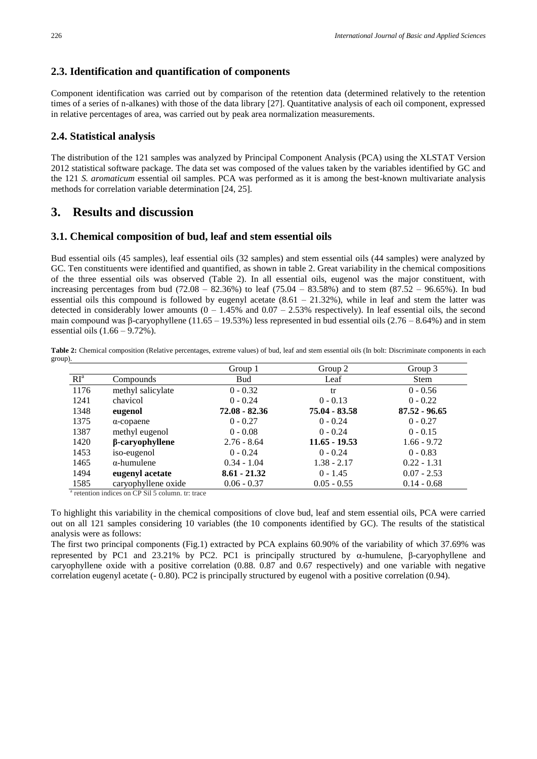#### **2.3. Identification and quantification of components**

Component identification was carried out by comparison of the retention data (determined relatively to the retention times of a series of n-alkanes) with those of the data library [27]. Quantitative analysis of each oil component, expressed in relative percentages of area, was carried out by peak area normalization measurements.

### **2.4. Statistical analysis**

The distribution of the 121 samples was analyzed by Principal Component Analysis (PCA) using the XLSTAT Version 2012 statistical software package. The data set was composed of the values taken by the variables identified by GC and the 121 *S. aromaticum* essential oil samples. PCA was performed as it is among the best-known multivariate analysis methods for correlation variable determination [24, 25].

### **3. Results and discussion**

#### **3.1. Chemical composition of bud, leaf and stem essential oils**

Bud essential oils (45 samples), leaf essential oils (32 samples) and stem essential oils (44 samples) were analyzed by GC. Ten constituents were identified and quantified, as shown in table 2. Great variability in the chemical compositions of the three essential oils was observed (Table 2). In all essential oils, eugenol was the major constituent, with increasing percentages from bud (72.08 – 82.36%) to leaf (75.04 – 83.58%) and to stem (87.52 – 96.65%). In bud essential oils this compound is followed by eugenyl acetate  $(8.61 - 21.32%)$ , while in leaf and stem the latter was detected in considerably lower amounts  $(0 - 1.45\%$  and  $0.07 - 2.53\%$  respectively). In leaf essential oils, the second main compound was β-caryophyllene (11.65 – 19.53%) less represented in bud essential oils (2.76 – 8.64%) and in stem essential oils (1.66 – 9.72%).

Table 2: Chemical composition (Relative percentages, extreme values) of bud, leaf and stem essential oils (In bolt: Discriminate components in each group).

|                 |                        | Group 1         | Group 2         | Group 3         |
|-----------------|------------------------|-----------------|-----------------|-----------------|
| RI <sup>a</sup> | Compounds              | <b>Bud</b>      | Leaf            | Stem            |
| 1176            | methyl salicylate      | $0 - 0.32$      | tr              | $0 - 0.56$      |
| 1241            | chavicol               | $0 - 0.24$      | $0 - 0.13$      | $0 - 0.22$      |
| 1348            | eugenol                | $72.08 - 82.36$ | 75.04 - 83.58   | $87.52 - 96.65$ |
| 1375            | $\alpha$ -copaene      | $0 - 0.27$      | $0 - 0.24$      | $0 - 0.27$      |
| 1387            | methyl eugenol         | $0 - 0.08$      | $0 - 0.24$      | $0 - 0.15$      |
| 1420            | $\beta$ -caryophyllene | $2.76 - 8.64$   | $11.65 - 19.53$ | $1.66 - 9.72$   |
| 1453            | iso-eugenol            | $0 - 0.24$      | $0 - 0.24$      | $0 - 0.83$      |
| 1465            | $\alpha$ -humulene     | $0.34 - 1.04$   | $1.38 - 2.17$   | $0.22 - 1.31$   |
| 1494            | eugenyl acetate        | $8.61 - 21.32$  | $0 - 1.45$      | $0.07 - 2.53$   |
| 1585            | caryophyllene oxide    | $0.06 - 0.37$   | $0.05 - 0.55$   | $0.14 - 0.68$   |

<sup>a</sup> retention indices on CP Sil 5 column. tr: trace

To highlight this variability in the chemical compositions of clove bud, leaf and stem essential oils, PCA were carried out on all 121 samples considering 10 variables (the 10 components identified by GC). The results of the statistical analysis were as follows:

The first two principal components (Fig.1) extracted by PCA explains 60.90% of the variability of which 37.69% was represented by PC1 and 23.21% by PC2. PC1 is principally structured by  $\alpha$ -humulene, β-caryophyllene and caryophyllene oxide with a positive correlation (0.88. 0.87 and 0.67 respectively) and one variable with negative correlation eugenyl acetate (- 0.80). PC2 is principally structured by eugenol with a positive correlation (0.94).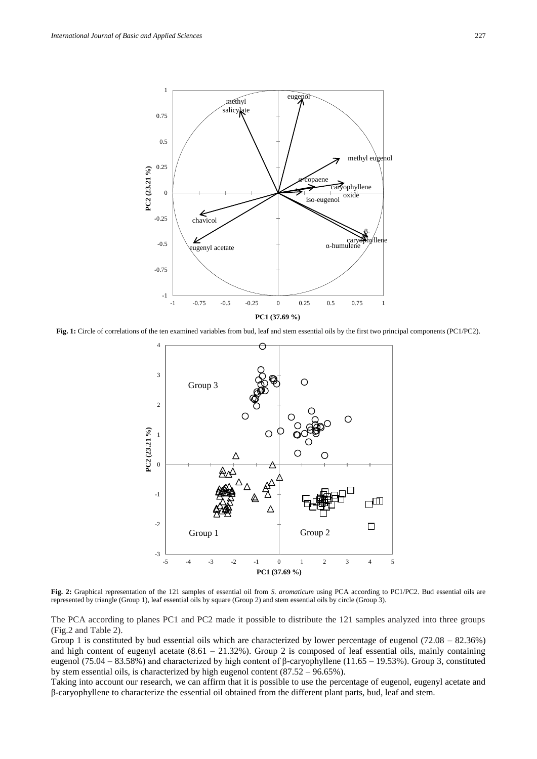

**Fig. 1:** Circle of correlations of the ten examined variables from bud, leaf and stem essential oils by the first two principal components (PC1/PC2).



**Fig. 2:** Graphical representation of the 121 samples of essential oil from *S. aromaticum* using PCA according to PC1/PC2. Bud essential oils are represented by triangle (Group 1), leaf essential oils by square (Group 2) and stem essential oils by circle (Group 3).

The PCA according to planes PC1 and PC2 made it possible to distribute the 121 samples analyzed into three groups (Fig.2 and Table 2).

Group 1 is constituted by bud essential oils which are characterized by lower percentage of eugenol (72.08 – 82.36%) and high content of eugenyl acetate  $(8.61 - 21.32\%)$ . Group 2 is composed of leaf essential oils, mainly containing eugenol (75.04 – 83.58%) and characterized by high content of β-caryophyllene (11.65 – 19.53%). Group 3, constituted by stem essential oils, is characterized by high eugenol content (87.52 – 96.65%).

Taking into account our research, we can affirm that it is possible to use the percentage of eugenol, eugenyl acetate and β-caryophyllene to characterize the essential oil obtained from the different plant parts, bud, leaf and stem.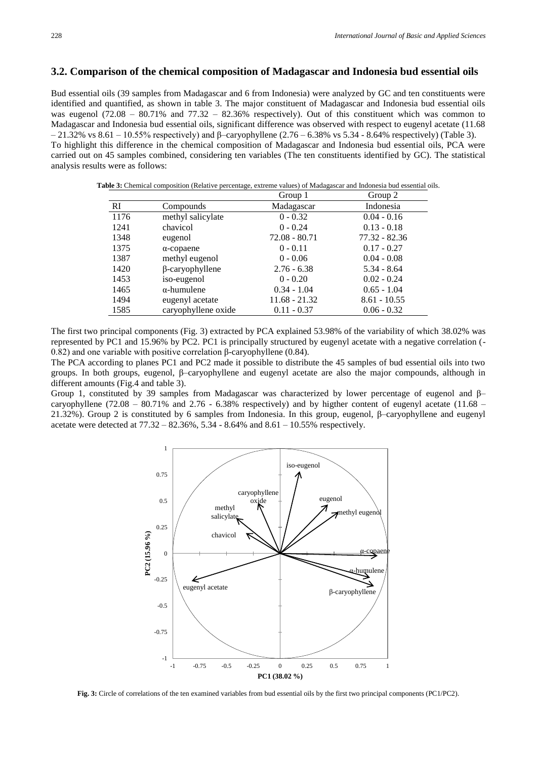### **3.2. Comparison of the chemical composition of Madagascar and Indonesia bud essential oils**

Bud essential oils (39 samples from Madagascar and 6 from Indonesia) were analyzed by GC and ten constituents were identified and quantified, as shown in table 3. The major constituent of Madagascar and Indonesia bud essential oils was eugenol (72.08 – 80.71% and 77.32 – 82.36% respectively). Out of this constituent which was common to Madagascar and Indonesia bud essential oils, significant difference was observed with respect to eugenyl acetate (11.68 – 21.32% vs 8.61 – 10.55% respectively) and β–caryophyllene (2.76 – 6.38% vs 5.34 - 8.64% respectively) (Table 3). To highlight this difference in the chemical composition of Madagascar and Indonesia bud essential oils, PCA were carried out on 45 samples combined, considering ten variables (The ten constituents identified by GC). The statistical analysis results were as follows:

**Table 3:** Chemical composition (Relative percentage, extreme values) of Madagascar and Indonesia bud essential oils.

|      |                        | Group 1         | Group 2        |
|------|------------------------|-----------------|----------------|
| RI   | Compounds              | Madagascar      | Indonesia      |
| 1176 | methyl salicylate      | $0 - 0.32$      | $0.04 - 0.16$  |
| 1241 | chavicol               | $0 - 0.24$      | $0.13 - 0.18$  |
| 1348 | eugenol                | $72.08 - 80.71$ | 77.32 - 82.36  |
| 1375 | $\alpha$ -copaene      | $0 - 0.11$      | $0.17 - 0.27$  |
| 1387 | methyl eugenol         | $0 - 0.06$      | $0.04 - 0.08$  |
| 1420 | $\beta$ -caryophyllene | $2.76 - 6.38$   | $5.34 - 8.64$  |
| 1453 | iso-eugenol            | $0 - 0.20$      | $0.02 - 0.24$  |
| 1465 | $\alpha$ -humulene     | $0.34 - 1.04$   | $0.65 - 1.04$  |
| 1494 | eugenyl acetate        | $11.68 - 21.32$ | $8.61 - 10.55$ |
| 1585 | caryophyllene oxide    | $0.11 - 0.37$   | $0.06 - 0.32$  |

The first two principal components (Fig. 3) extracted by PCA explained 53.98% of the variability of which 38.02% was represented by PC1 and 15.96% by PC2. PC1 is principally structured by eugenyl acetate with a negative correlation (- 0.82) and one variable with positive correlation β-caryophyllene (0.84).

The PCA according to planes PC1 and PC2 made it possible to distribute the 45 samples of bud essential oils into two groups. In both groups, eugenol, β–caryophyllene and eugenyl acetate are also the major compounds, although in different amounts (Fig.4 and table 3).

Group 1, constituted by 39 samples from Madagascar was characterized by lower percentage of eugenol and β– caryophyllene (72.08 – 80.71% and 2.76 - 6.38% respectively) and by higther content of eugenyl acetate (11.68 – 21.32%). Group 2 is constituted by 6 samples from Indonesia. In this group, eugenol, β–caryophyllene and eugenyl acetate were detected at  $77.32 - 82.36\%, 5.34 - 8.64\%$  and  $8.61 - 10.55\%$  respectively.



**Fig. 3:** Circle of correlations of the ten examined variables from bud essential oils by the first two principal components (PC1/PC2).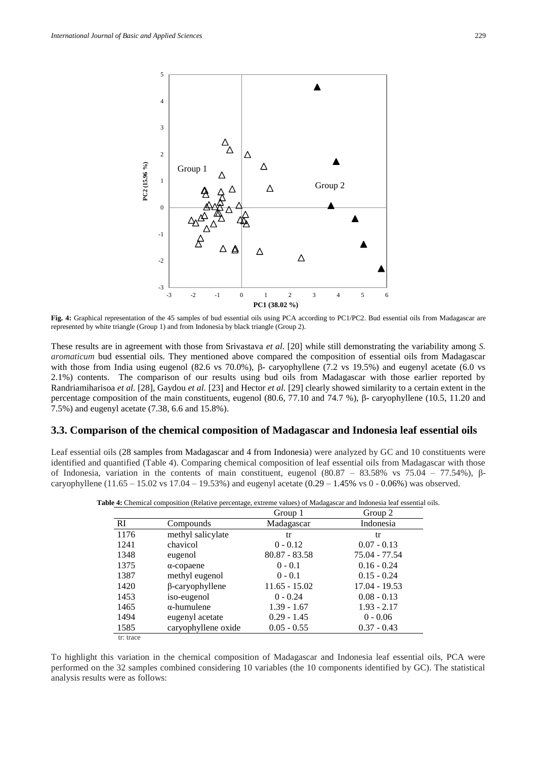

**Fig. 4:** Graphical representation of the 45 samples of bud essential oils using PCA according to PC1/PC2. Bud essential oils from Madagascar are represented by white triangle (Group 1) and from Indonesia by black triangle (Group 2).

These results are in agreement with those from Srivastava *et al.* [20] while still demonstrating the variability among *S. aromaticum* bud essential oils. They mentioned above compared the composition of essential oils from Madagascar with those from India using eugenol (82.6 vs 70.0%), β- caryophyllene (7.2 vs 19.5%) and eugenyl acetate (6.0 vs 2.1%) contents. The comparison of our results using bud oils from Madagascar with those earlier reported by Randriamiharisoa *et al.* [28], Gaydou *et al.* [23] and Hector *et al.* [29] clearly showed similarity to a certain extent in the percentage composition of the main constituents, eugenol (80.6, 77.10 and 74.7 %), β- caryophyllene (10.5, 11.20 and 7.5%) and eugenyl acetate (7.38, 6.6 and 15.8%).

#### **3.3. Comparison of the chemical composition of Madagascar and Indonesia leaf essential oils**

Leaf essential oils (28 samples from Madagascar and 4 from Indonesia) were analyzed by GC and 10 constituents were identified and quantified (Table 4). Comparing chemical composition of leaf essential oils from Madagascar with those of Indonesia, variation in the contents of main constituent, eugenol (80.87 – 83.58% vs 75.04 – 77.54%), βcaryophyllene (11.65 – 15.02 vs 17.04 – 19.53%) and eugenyl acetate (0.29 – 1.45% vs 0 - 0.06%) was observed.

|           |                        | Group 1         | Group 2       |
|-----------|------------------------|-----------------|---------------|
| <b>RI</b> | Compounds              | Madagascar      | Indonesia     |
| 1176      | methyl salicylate      | tr              | tr            |
| 1241      | chavicol               | $0 - 0.12$      | $0.07 - 0.13$ |
| 1348      | eugenol                | $80.87 - 83.58$ | 75.04 - 77.54 |
| 1375      | $\alpha$ -copaene      | $0 - 0.1$       | $0.16 - 0.24$ |
| 1387      | methyl eugenol         | $0 - 0.1$       | $0.15 - 0.24$ |
| 1420      | $\beta$ -caryophyllene | $11.65 - 15.02$ | 17.04 - 19.53 |
| 1453      | iso-eugenol            | $0 - 0.24$      | $0.08 - 0.13$ |
| 1465      | $\alpha$ -humulene     | $1.39 - 1.67$   | $1.93 - 2.17$ |
| 1494      | eugenyl acetate        | $0.29 - 1.45$   | $0 - 0.06$    |
| 1585      | caryophyllene oxide    | $0.05 - 0.55$   | $0.37 - 0.43$ |
| tr: trace |                        |                 |               |

**Table 4:** Chemical composition (Relative percentage, extreme values) of Madagascar and Indonesia leaf essential oils.

To highlight this variation in the chemical composition of Madagascar and Indonesia leaf essential oils, PCA were performed on the 32 samples combined considering 10 variables (the 10 components identified by GC). The statistical analysis results were as follows: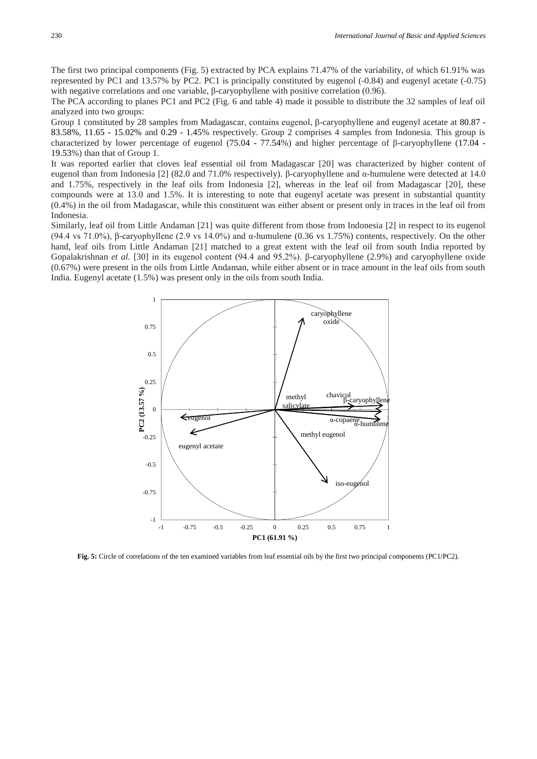The first two principal components (Fig. 5) extracted by PCA explains 71.47% of the variability, of which 61.91% was represented by PC1 and 13.57% by PC2. PC1 is principally constituted by eugenol (-0.84) and eugenyl acetate (-0.75) with negative correlations and one variable, β-caryophyllene with positive correlation (0.96).

The PCA according to planes PC1 and PC2 (Fig. 6 and table 4) made it possible to distribute the 32 samples of leaf oil analyzed into two groups:

Group 1 constituted by 28 samples from Madagascar, contains eugenol, β-caryophyllene and eugenyl acetate at 80.87 - 83.58%, 11.65 - 15.02% and 0.29 - 1.45% respectively. Group 2 comprises 4 samples from Indonesia. This group is characterized by lower percentage of eugenol (75.04 - 77.54%) and higher percentage of β-caryophyllene (17.04 - 19.53%) than that of Group 1.

It was reported earlier that cloves leaf essential oil from Madagascar [20] was characterized by higher content of eugenol than from Indonesia [2] (82.0 and 71.0% respectively). β-caryophyllene and α-humulene were detected at 14.0 and 1.75%, respectively in the leaf oils from Indonesia [2], whereas in the leaf oil from Madagascar [20], these compounds were at 13.0 and 1.5%. It is interesting to note that eugenyl acetate was present in substantial quantity (0.4%) in the oil from Madagascar, while this constituent was either absent or present only in traces in the leaf oil from Indonesia.

Similarly, leaf oil from Little Andaman [21] was quite different from those from Indonesia [2] in respect to its eugenol (94.4 vs 71.0%), β-caryophyllene (2.9 vs 14.0%) and  $\alpha$ -humulene (0.36 vs 1.75%) contents, respectively. On the other hand, leaf oils from Little Andaman [21] matched to a great extent with the leaf oil from south India reported by Gopalakrishnan *et al.* [30] in its eugenol content (94.4 and 95.2%). β-caryophyllene (2.9%) and caryophyllene oxide (0.67%) were present in the oils from Little Andaman, while either absent or in trace amount in the leaf oils from south India. Eugenyl acetate (1.5%) was present only in the oils from south India.



**Fig. 5:** Circle of correlations of the ten examined variables from leaf essential oils by the first two principal components (PC1/PC2).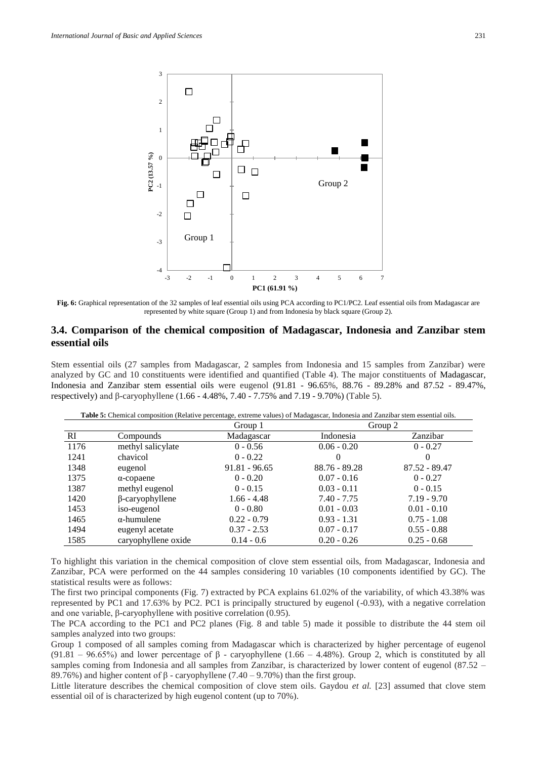

**Fig. 6:** Graphical representation of the 32 samples of leaf essential oils using PCA according to PC1/PC2. Leaf essential oils from Madagascar are represented by white square (Group 1) and from Indonesia by black square (Group 2).

### **3.4. Comparison of the chemical composition of Madagascar, Indonesia and Zanzibar stem essential oils**

Stem essential oils (27 samples from Madagascar, 2 samples from Indonesia and 15 samples from Zanzibar) were analyzed by GC and 10 constituents were identified and quantified (Table 4). The major constituents of Madagascar, Indonesia and Zanzibar stem essential oils were eugenol (91.81 - 96.65%, 88.76 - 89.28% and 87.52 - 89.47%, respectively) and β-caryophyllene (1.66 - 4.48%, 7.40 - 7.75% and 7.19 - 9.70%) (Table 5).

**Table 5:** Chemical composition (Relative percentage, extreme values) of Madagascar, Indonesia and Zanzibar stem essential oils.

|      |                        | Group 1         | Group 2       |                 |
|------|------------------------|-----------------|---------------|-----------------|
| RI   | Compounds              | Madagascar      | Indonesia     | Zanzibar        |
| 1176 | methyl salicylate      | $0 - 0.56$      | $0.06 - 0.20$ | $0 - 0.27$      |
| 1241 | chavicol               | $0 - 0.22$      | $\theta$      | $\theta$        |
| 1348 | eugenol                | $91.81 - 96.65$ | 88.76 - 89.28 | $87.52 - 89.47$ |
| 1375 | $\alpha$ -copaene      | $0 - 0.20$      | $0.07 - 0.16$ | $0 - 0.27$      |
| 1387 | methyl eugenol         | $0 - 0.15$      | $0.03 - 0.11$ | $0 - 0.15$      |
| 1420 | $\beta$ -caryophyllene | $1.66 - 4.48$   | $7.40 - 7.75$ | $7.19 - 9.70$   |
| 1453 | iso-eugenol            | $0 - 0.80$      | $0.01 - 0.03$ | $0.01 - 0.10$   |
| 1465 | $\alpha$ -humulene     | $0.22 - 0.79$   | $0.93 - 1.31$ | $0.75 - 1.08$   |
| 1494 | eugenyl acetate        | $0.37 - 2.53$   | $0.07 - 0.17$ | $0.55 - 0.88$   |
| 1585 | caryophyllene oxide    | $0.14 - 0.6$    | $0.20 - 0.26$ | $0.25 - 0.68$   |

To highlight this variation in the chemical composition of clove stem essential oils, from Madagascar, Indonesia and Zanzibar, PCA were performed on the 44 samples considering 10 variables (10 components identified by GC). The statistical results were as follows:

The first two principal components (Fig. 7) extracted by PCA explains 61.02% of the variability, of which 43.38% was represented by PC1 and 17.63% by PC2. PC1 is principally structured by eugenol (-0.93), with a negative correlation and one variable, β-caryophyllene with positive correlation  $(0.95)$ .

The PCA according to the PC1 and PC2 planes (Fig. 8 and table 5) made it possible to distribute the 44 stem oil samples analyzed into two groups:

Group 1 composed of all samples coming from Madagascar which is characterized by higher percentage of eugenol (91.81 – 96.65%) and lower percentage of  $\beta$  - caryophyllene (1.66 – 4.48%). Group 2, which is constituted by all samples coming from Indonesia and all samples from Zanzibar, is characterized by lower content of eugenol (87.52 – 89.76%) and higher content of  $\beta$  - caryophyllene (7.40 – 9.70%) than the first group.

Little literature describes the chemical composition of clove stem oils. Gaydou *et al.* [23] assumed that clove stem essential oil of is characterized by high eugenol content (up to 70%).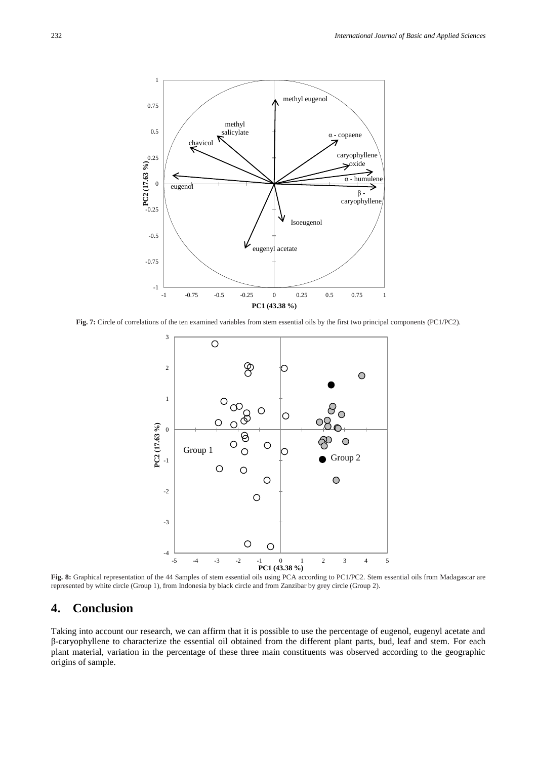

**Fig. 7:** Circle of correlations of the ten examined variables from stem essential oils by the first two principal components (PC1/PC2).



**Fig. 8:** Graphical representation of the 44 Samples of stem essential oils using PCA according to PC1/PC2. Stem essential oils from Madagascar are represented by white circle (Group 1), from Indonesia by black circle and from Zanzibar by grey circle (Group 2).

### **4. Conclusion**

Taking into account our research, we can affirm that it is possible to use the percentage of eugenol, eugenyl acetate and β-caryophyllene to characterize the essential oil obtained from the different plant parts, bud, leaf and stem. For each plant material, variation in the percentage of these three main constituents was observed according to the geographic origins of sample.